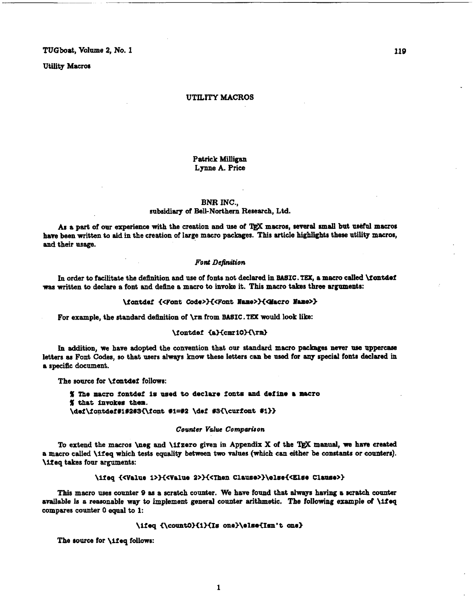TUGboat, Volume **2,** No. I

Utility Macros

### **UTILITY MACROS**

## Patrick **Milligan Lynne** A. Price

## BNR **INC.,**

## subsidiary **of** Bell-Northern Research, Ltd.

**AB** a part **of** our experience **with** the creation and **urn** of macros, **wmral smd** but **ua&fd** macros have been written to aid in the creation of large macro packages. This article highlights these utility macros, **and** their usage.

## *Font Definition*

In order to facilitate the defhition and use of fonts not declared in BASIC. **TEX, a macro** called kontdef was written to declare a font and define a macro to **invoke** it. **This** macro takes three arguments:

#### \fontdef {<Font Code>}{<Font Name>}{<Macro Name>}

For example, the standard definition **of \rm** from BASIC. **TEX** would look lib:

## \fontdef {a}{cmr10}{\rm}

In addition, **we** haw adopted the convention that our standard macro packages never **uae** uppercase letters as Font Codes, so that users always **know** these letters can be uaed for **any** special fonts declared **h**  a specific document.

The source for \f ontdef follows:

% The macro fontdef is used to declare fonts and define a macro<br>% that invokes them.<br>\def\fontdef#i#2#3{\font #1=#2 \def #3{\curfont #1}} % that invokes them.<br>\def\fontdef#i#2#3{\font #i=#2 \def #3{\curfont #i}}

## *Counter Value Comparhon*

To extend the macros \nag and \ifzero given in Appendix **X** of the **lj@C manual, we** have created a macro calied \lfeq which tests equality between two values (which can either be constants or connterr). \ilteq takes four arguments:

## \ifeq {<Value 1>}{<Value 2>}{<Then Clause>}\else{<Else Clause>}

This macro uses counter 9 as a scratch counter. We have found that always having a scratch counter available is a reasonable way to implement general counter arithmetic. The following example of \ifeq compares counter **0** equal to **1:** 

## \ifeq {\count0}{1}{Is one}\else{Isn't one}

The source for **\ifeq** follows:

119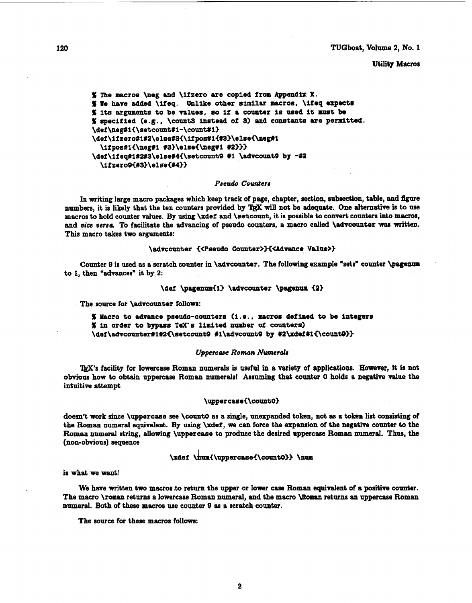TUGboat, **Volume** 2, No. 1

## Utility Macros

```
Xme macros \neg and \ifzero are copied from Append* X. 
% We have added \ifeq. Unlike other similar macros, \ifeq expects
% its arguments to be values, so if a counter is used it must be
5 specified (e.g.. \count3 instead of 3) and coostantB are pernitted. 
\def\neg#i{\setcount#1-\count#1}
\def\ifzero#1#2\else#3{\ifpos#1{#3}\else{\neg#1
  \ifpos#1{\neg#1 #3}\else{\neg#1 #2}}}
\def\ifeq#1#2#3\else#4{\setcount9 #1 \advcount9 by -#2
  \{12ero9\{23\}\else\{24\}
```
## *Pseudo Counterr*

In writing large macro packages which keep track of page, chapter, section, subsection, table, and **ftgwe**  numbers, it is likely that the ten counters provided by TgX will not be adequate. One alternative is to use macros to hold counter values. By using \xdef and \setcount, it is possible to convert counters into macros, and *vice versa*. To facilitate the advancing of pseudo counters, a macro called **\advcounter was written.** This macro takes two arguments:

#### \advcounter {<Pseudo Counter>}{<Advance Value>}

Counter 9 is used as a scratch counter in \advcounter. The following example "sets" counter \pagenum to **1,** then \*advances\* it by 2:

## \def \pagenum{1} \advcounter \pagenum {2}

The source for **\advcounter** follows:

**<sup>X</sup>**Macro to admaace pseudo-counters (i.e.. macros defined to be integers **X in** order to bypass TeX'a lilnited **number of** counters) \def\advcounter#1#2{\setcount9 #1\advcount9 by #2\xdef#1{\count9}}

#### *Uppercue Roman* **Numerds**

mas facility for lowarcase Roman numerals is **useful** in a variety of applications. However, it is **not**  ebvious **how** to obtain uppercase Roman numerals! Assuming that counter **0** holds a negative value the intuitive attempt

## \uppercase{\count0}

doesn't work since \uppercase see \count0 as a single, unexpanded token, not as a token list consisting of the Roman numeral equivalent. By **using** \xdef, **we** can force the expansion of the negatiw counter to the Roman numeral string, allowing \uppercase to produce the desired uppercase Roman numeral. Thus, the (non-obvious) sequence

# \xdef \num{\uppercase{\count0}} \num

**is** what we want!

We have written two macros to return the upper or lower case Roman equivalent of a positive counter. The macro **\roman** returns a lawercase Roman nnmeral, and the **macro Woman** returns an uppercase Romsn numeral. Both of these macros use counter 9 as a scratch counter.

The source for these macros follows: